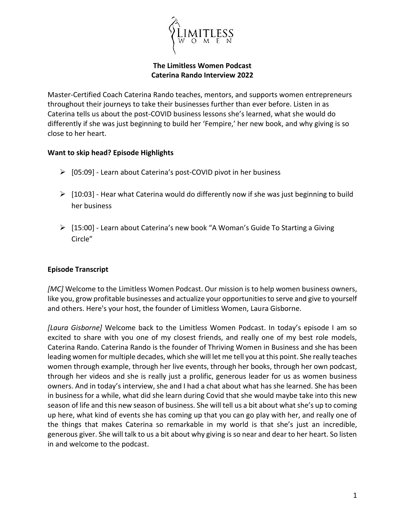

#### **The Limitless Women Podcast Caterina Rando Interview 2022**

Master-Certified Coach Caterina Rando teaches, mentors, and supports women entrepreneurs throughout their journeys to take their businesses further than ever before. Listen in as Caterina tells us about the post-COVID business lessons she's learned, what she would do differently if she was just beginning to build her 'Fempire,' her new book, and why giving is so close to her heart.

### **Want to skip head? Episode Highlights**

- $\triangleright$  [05:09] Learn about Caterina's post-COVID pivot in her business
- $\triangleright$  [10:03] Hear what Caterina would do differently now if she was just beginning to build her business
- ▶ [15:00] Learn about Caterina's new book "A Woman's Guide To Starting a Giving Circle"

## **Episode Transcript**

*[MC]* Welcome to the Limitless Women Podcast. Our mission is to help women business owners, like you, grow profitable businesses and actualize your opportunities to serve and give to yourself and others. Here's your host, the founder of Limitless Women, Laura Gisborne.

*[Laura Gisborne]* Welcome back to the Limitless Women Podcast. In today's episode I am so excited to share with you one of my closest friends, and really one of my best role models, Caterina Rando. Caterina Rando is the founder of Thriving Women in Business and she has been leading women for multiple decades, which she will let me tell you at this point. She really teaches women through example, through her live events, through her books, through her own podcast, through her videos and she is really just a prolific, generous leader for us as women business owners. And in today's interview, she and I had a chat about what has she learned. She has been in business for a while, what did she learn during Covid that she would maybe take into this new season of life and this new season of business. She will tell us a bit about what she's up to coming up here, what kind of events she has coming up that you can go play with her, and really one of the things that makes Caterina so remarkable in my world is that she's just an incredible, generous giver. She will talk to us a bit about why giving is so near and dear to her heart. So listen in and welcome to the podcast.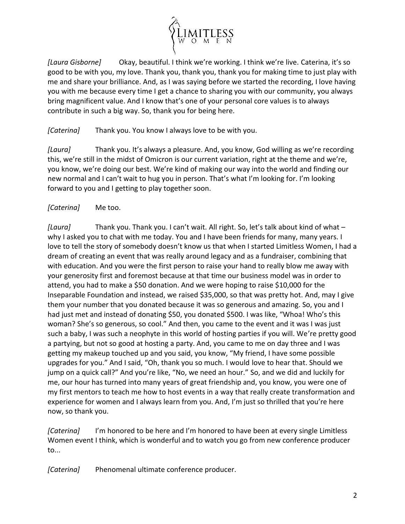

*[Laura Gisborne]* Okay, beautiful. I think we're working. I think we're live. Caterina, it's so good to be with you, my love. Thank you, thank you, thank you for making time to just play with me and share your brilliance. And, as I was saying before we started the recording, I love having you with me because every time I get a chance to sharing you with our community, you always bring magnificent value. And I know that's one of your personal core values is to always contribute in such a big way. So, thank you for being here.

*[Caterina]* Thank you. You know I always love to be with you.

*[Laura]* Thank you. It's always a pleasure. And, you know, God willing as we're recording this, we're still in the midst of Omicron is our current variation, right at the theme and we're, you know, we're doing our best. We're kind of making our way into the world and finding our new normal and I can't wait to hug you in person. That's what I'm looking for. I'm looking forward to you and I getting to play together soon.

## *[Caterina]* Me too.

*[Laura]* Thank you. Thank you. I can't wait. All right. So, let's talk about kind of what – why I asked you to chat with me today. You and I have been friends for many, many years. I love to tell the story of somebody doesn't know us that when I started Limitless Women, I had a dream of creating an event that was really around legacy and as a fundraiser, combining that with education. And you were the first person to raise your hand to really blow me away with your generosity first and foremost because at that time our business model was in order to attend, you had to make a \$50 donation. And we were hoping to raise \$10,000 for the Inseparable Foundation and instead, we raised \$35,000, so that was pretty hot. And, may I give them your number that you donated because it was so generous and amazing. So, you and I had just met and instead of donating \$50, you donated \$500. I was like, "Whoa! Who's this woman? She's so generous, so cool." And then, you came to the event and it was I was just such a baby, I was such a neophyte in this world of hosting parties if you will. We're pretty good a partying, but not so good at hosting a party. And, you came to me on day three and I was getting my makeup touched up and you said, you know, "My friend, I have some possible upgrades for you." And I said, "Oh, thank you so much. I would love to hear that. Should we jump on a quick call?" And you're like, "No, we need an hour." So, and we did and luckily for me, our hour has turned into many years of great friendship and, you know, you were one of my first mentors to teach me how to host events in a way that really create transformation and experience for women and I always learn from you. And, I'm just so thrilled that you're here now, so thank you.

*[Caterina]* I'm honored to be here and I'm honored to have been at every single Limitless Women event I think, which is wonderful and to watch you go from new conference producer to...

*[Caterina]* Phenomenal ultimate conference producer.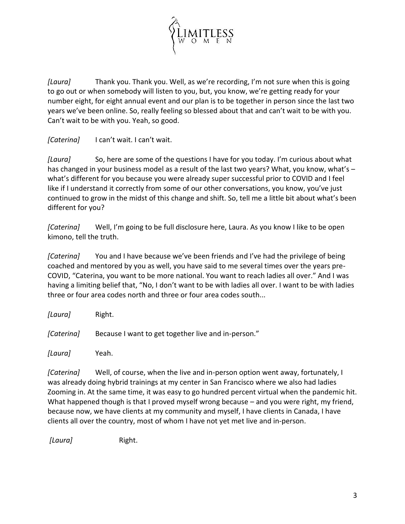

*[Laura]* Thank you. Thank you. Well, as we're recording, I'm not sure when this is going to go out or when somebody will listen to you, but, you know, we're getting ready for your number eight, for eight annual event and our plan is to be together in person since the last two years we've been online. So, really feeling so blessed about that and can't wait to be with you. Can't wait to be with you. Yeah, so good.

*[Caterina]* I can't wait. I can't wait.

*[Laura]* So, here are some of the questions I have for you today. I'm curious about what has changed in your business model as a result of the last two years? What, you know, what's – what's different for you because you were already super successful prior to COVID and I feel like if I understand it correctly from some of our other conversations, you know, you've just continued to grow in the midst of this change and shift. So, tell me a little bit about what's been different for you?

*[Caterina]* Well, I'm going to be full disclosure here, Laura. As you know I like to be open kimono, tell the truth.

*[Caterina]* You and I have because we've been friends and I've had the privilege of being coached and mentored by you as well, you have said to me several times over the years pre-COVID, "Caterina, you want to be more national. You want to reach ladies all over." And I was having a limiting belief that, "No, I don't want to be with ladies all over. I want to be with ladies three or four area codes north and three or four area codes south...

| [Laura]    | Right.                                              |
|------------|-----------------------------------------------------|
| [Caterina] | Because I want to get together live and in-person." |
| [Laura]    | Yeah.                                               |

*[Caterina]* Well, of course, when the live and in-person option went away, fortunately, I was already doing hybrid trainings at my center in San Francisco where we also had ladies Zooming in. At the same time, it was easy to go hundred percent virtual when the pandemic hit. What happened though is that I proved myself wrong because – and you were right, my friend, because now, we have clients at my community and myself, I have clients in Canada, I have clients all over the country, most of whom I have not yet met live and in-person.

*[Laura]* Right.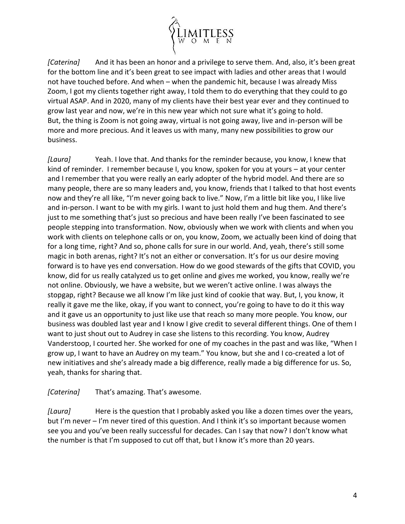

*[Caterina]* And it has been an honor and a privilege to serve them. And, also, it's been great for the bottom line and it's been great to see impact with ladies and other areas that I would not have touched before. And when – when the pandemic hit, because I was already Miss Zoom, I got my clients together right away, I told them to do everything that they could to go virtual ASAP. And in 2020, many of my clients have their best year ever and they continued to grow last year and now, we're in this new year which not sure what it's going to hold. But, the thing is Zoom is not going away, virtual is not going away, live and in-person will be more and more precious. And it leaves us with many, many new possibilities to grow our business.

*[Laura]* Yeah. I love that. And thanks for the reminder because, you know, I knew that kind of reminder. I remember because I, you know, spoken for you at yours – at your center and I remember that you were really an early adopter of the hybrid model. And there are so many people, there are so many leaders and, you know, friends that I talked to that host events now and they're all like, "I'm never going back to live." Now, I'm a little bit like you, I like live and in-person. I want to be with my girls. I want to just hold them and hug them. And there's just to me something that's just so precious and have been really I've been fascinated to see people stepping into transformation. Now, obviously when we work with clients and when you work with clients on telephone calls or on, you know, Zoom, we actually been kind of doing that for a long time, right? And so, phone calls for sure in our world. And, yeah, there's still some magic in both arenas, right? It's not an either or conversation. It's for us our desire moving forward is to have yes end conversation. How do we good stewards of the gifts that COVID, you know, did for us really catalyzed us to get online and gives me worked, you know, really we're not online. Obviously, we have a website, but we weren't active online. I was always the stopgap, right? Because we all know I'm like just kind of cookie that way. But, I, you know, it really it gave me the like, okay, if you want to connect, you're going to have to do it this way and it gave us an opportunity to just like use that reach so many more people. You know, our business was doubled last year and I know I give credit to several different things. One of them I want to just shout out to Audrey in case she listens to this recording. You know, Audrey Vanderstoop, I courted her. She worked for one of my coaches in the past and was like, "When I grow up, I want to have an Audrey on my team." You know, but she and I co-created a lot of new initiatives and she's already made a big difference, really made a big difference for us. So, yeah, thanks for sharing that.

## *[Caterina]* That's amazing. That's awesome.

*[Laura]* Here is the question that I probably asked you like a dozen times over the years, but I'm never – I'm never tired of this question. And I think it's so important because women see you and you've been really successful for decades. Can I say that now? I don't know what the number is that I'm supposed to cut off that, but I know it's more than 20 years.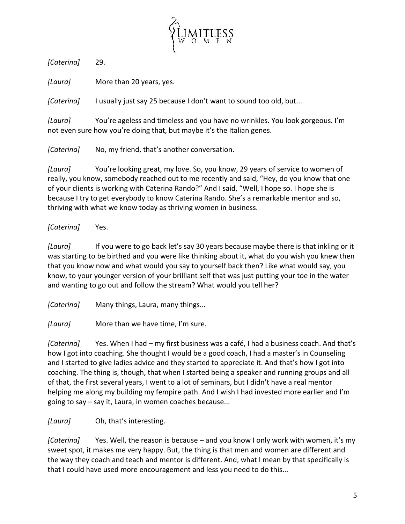

*[Caterina]* 29.

*[Laura]* More than 20 years, yes.

*[Caterina]* I usually just say 25 because I don't want to sound too old, but...

*[Laura]* You're ageless and timeless and you have no wrinkles. You look gorgeous. I'm not even sure how you're doing that, but maybe it's the Italian genes.

*[Caterina]* No, my friend, that's another conversation.

*[Laura]* You're looking great, my love. So, you know, 29 years of service to women of really, you know, somebody reached out to me recently and said, "Hey, do you know that one of your clients is working with Caterina Rando?" And I said, "Well, I hope so. I hope she is because I try to get everybody to know Caterina Rando. She's a remarkable mentor and so, thriving with what we know today as thriving women in business.

## *[Caterina]* Yes.

*[Laura]* If you were to go back let's say 30 years because maybe there is that inkling or it was starting to be birthed and you were like thinking about it, what do you wish you knew then that you know now and what would you say to yourself back then? Like what would say, you know, to your younger version of your brilliant self that was just putting your toe in the water and wanting to go out and follow the stream? What would you tell her?

*[Caterina]* Many things, Laura, many things...

*[Laura]* More than we have time, I'm sure.

*[Caterina]* Yes. When I had – my first business was a café, I had a business coach. And that's how I got into coaching. She thought I would be a good coach, I had a master's in Counseling and I started to give ladies advice and they started to appreciate it. And that's how I got into coaching. The thing is, though, that when I started being a speaker and running groups and all of that, the first several years, I went to a lot of seminars, but I didn't have a real mentor helping me along my building my fempire path. And I wish I had invested more earlier and I'm going to say – say it, Laura, in women coaches because...

*[Laura]* Oh, that's interesting.

*[Caterina]* Yes. Well, the reason is because – and you know I only work with women, it's my sweet spot, it makes me very happy. But, the thing is that men and women are different and the way they coach and teach and mentor is different. And, what I mean by that specifically is that I could have used more encouragement and less you need to do this...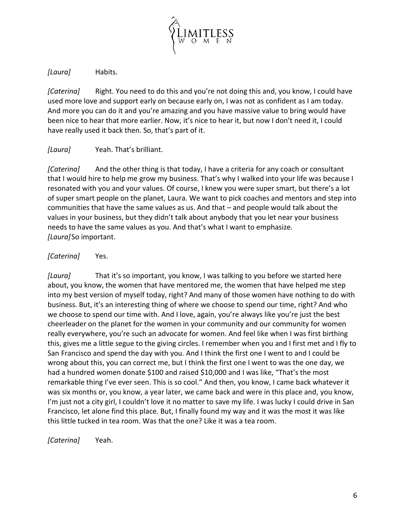

*[Laura]* Habits.

*[Caterina]* Right. You need to do this and you're not doing this and, you know, I could have used more love and support early on because early on, I was not as confident as I am today. And more you can do it and you're amazing and you have massive value to bring would have been nice to hear that more earlier. Now, it's nice to hear it, but now I don't need it, I could have really used it back then. So, that's part of it.

## *[Laura]* Yeah. That's brilliant.

*[Caterina]* And the other thing is that today, I have a criteria for any coach or consultant that I would hire to help me grow my business. That's why I walked into your life was because I resonated with you and your values. Of course, I knew you were super smart, but there's a lot of super smart people on the planet, Laura. We want to pick coaches and mentors and step into communities that have the same values as us. And that – and people would talk about the values in your business, but they didn't talk about anybody that you let near your business needs to have the same values as you. And that's what I want to emphasize. *[Laura]*So important.

# *[Caterina]* Yes.

*[Laura]* That it's so important, you know, I was talking to you before we started here about, you know, the women that have mentored me, the women that have helped me step into my best version of myself today, right? And many of those women have nothing to do with business. But, it's an interesting thing of where we choose to spend our time, right? And who we choose to spend our time with. And I love, again, you're always like you're just the best cheerleader on the planet for the women in your community and our community for women really everywhere, you're such an advocate for women. And feel like when I was first birthing this, gives me a little segue to the giving circles. I remember when you and I first met and I fly to San Francisco and spend the day with you. And I think the first one I went to and I could be wrong about this, you can correct me, but I think the first one I went to was the one day, we had a hundred women donate \$100 and raised \$10,000 and I was like, "That's the most remarkable thing I've ever seen. This is so cool." And then, you know, I came back whatever it was six months or, you know, a year later, we came back and were in this place and, you know, I'm just not a city girl, I couldn't love it no matter to save my life. I was lucky I could drive in San Francisco, let alone find this place. But, I finally found my way and it was the most it was like this little tucked in tea room. Was that the one? Like it was a tea room.

*[Caterina]* Yeah.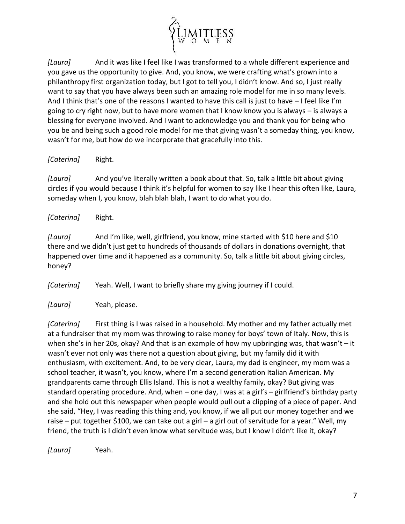

*[Laura]* And it was like I feel like I was transformed to a whole different experience and you gave us the opportunity to give. And, you know, we were crafting what's grown into a philanthropy first organization today, but I got to tell you, I didn't know. And so, I just really want to say that you have always been such an amazing role model for me in so many levels. And I think that's one of the reasons I wanted to have this call is just to have – I feel like I'm going to cry right now, but to have more women that I know know you is always – is always a blessing for everyone involved. And I want to acknowledge you and thank you for being who you be and being such a good role model for me that giving wasn't a someday thing, you know, wasn't for me, but how do we incorporate that gracefully into this.

*[Caterina]* Right.

*[Laura]* And you've literally written a book about that. So, talk a little bit about giving circles if you would because I think it's helpful for women to say like I hear this often like, Laura, someday when I, you know, blah blah blah, I want to do what you do.

*[Caterina]* Right.

*[Laura]* And I'm like, well, girlfriend, you know, mine started with \$10 here and \$10 there and we didn't just get to hundreds of thousands of dollars in donations overnight, that happened over time and it happened as a community. So, talk a little bit about giving circles, honey?

*[Caterina]* Yeah. Well, I want to briefly share my giving journey if I could.

*[Laura]* Yeah, please.

*[Caterina]* First thing is I was raised in a household. My mother and my father actually met at a fundraiser that my mom was throwing to raise money for boys' town of Italy. Now, this is when she's in her 20s, okay? And that is an example of how my upbringing was, that wasn't - it wasn't ever not only was there not a question about giving, but my family did it with enthusiasm, with excitement. And, to be very clear, Laura, my dad is engineer, my mom was a school teacher, it wasn't, you know, where I'm a second generation Italian American. My grandparents came through Ellis Island. This is not a wealthy family, okay? But giving was standard operating procedure. And, when – one day, I was at a girl's – girlfriend's birthday party and she hold out this newspaper when people would pull out a clipping of a piece of paper. And she said, "Hey, I was reading this thing and, you know, if we all put our money together and we raise – put together \$100, we can take out a girl – a girl out of servitude for a year." Well, my friend, the truth is I didn't even know what servitude was, but I know I didn't like it, okay?

*[Laura]* Yeah.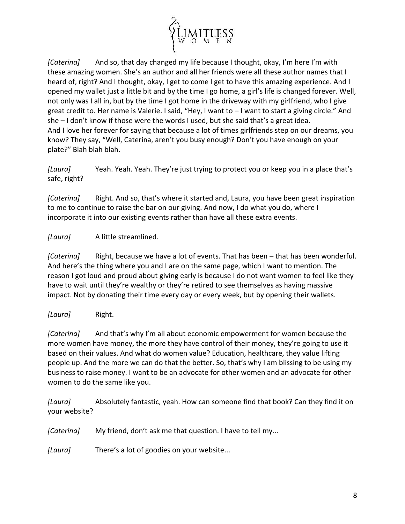

*[Caterina]* And so, that day changed my life because I thought, okay, I'm here I'm with these amazing women. She's an author and all her friends were all these author names that I heard of, right? And I thought, okay, I get to come I get to have this amazing experience. And I opened my wallet just a little bit and by the time I go home, a girl's life is changed forever. Well, not only was I all in, but by the time I got home in the driveway with my girlfriend, who I give great credit to. Her name is Valerie. I said, "Hey, I want to – I want to start a giving circle." And she – I don't know if those were the words I used, but she said that's a great idea. And I love her forever for saying that because a lot of times girlfriends step on our dreams, you know? They say, "Well, Caterina, aren't you busy enough? Don't you have enough on your plate?" Blah blah blah.

*[Laura]* Yeah. Yeah. Yeah. They're just trying to protect you or keep you in a place that's safe, right?

*[Caterina]* Right. And so, that's where it started and, Laura, you have been great inspiration to me to continue to raise the bar on our giving. And now, I do what you do, where I incorporate it into our existing events rather than have all these extra events.

# *[Laura]* A little streamlined.

*[Caterina]* Right, because we have a lot of events. That has been – that has been wonderful. And here's the thing where you and I are on the same page, which I want to mention. The reason I got loud and proud about giving early is because I do not want women to feel like they have to wait until they're wealthy or they're retired to see themselves as having massive impact. Not by donating their time every day or every week, but by opening their wallets.

## *[Laura]* Right.

*[Caterina]* And that's why I'm all about economic empowerment for women because the more women have money, the more they have control of their money, they're going to use it based on their values. And what do women value? Education, healthcare, they value lifting people up. And the more we can do that the better. So, that's why I am blissing to be using my business to raise money. I want to be an advocate for other women and an advocate for other women to do the same like you.

*[Laura]* Absolutely fantastic, yeah. How can someone find that book? Can they find it on your website?

*[Caterina]* My friend, don't ask me that question. I have to tell my...

*[Laura]* There's a lot of goodies on your website...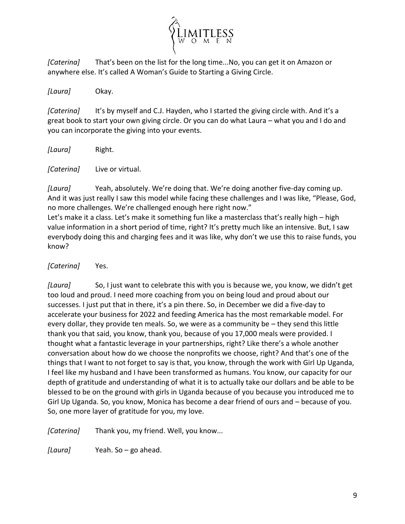

*[Caterina]* That's been on the list for the long time...No, you can get it on Amazon or anywhere else. It's called A Woman's Guide to Starting a Giving Circle.

*[Laura]* Okay.

*[Caterina]* It's by myself and C.J. Hayden, who I started the giving circle with. And it's a great book to start your own giving circle. Or you can do what Laura – what you and I do and you can incorporate the giving into your events.

*[Laura]* Right.

*[Caterina]* Live or virtual.

*[Laura]* Yeah, absolutely. We're doing that. We're doing another five-day coming up. And it was just really I saw this model while facing these challenges and I was like, "Please, God, no more challenges. We're challenged enough here right now."

Let's make it a class. Let's make it something fun like a masterclass that's really high – high value information in a short period of time, right? It's pretty much like an intensive. But, I saw everybody doing this and charging fees and it was like, why don't we use this to raise funds, you know?

*[Caterina]* Yes.

*[Laura]* So, I just want to celebrate this with you is because we, you know, we didn't get too loud and proud. I need more coaching from you on being loud and proud about our successes. I just put that in there, it's a pin there. So, in December we did a five-day to accelerate your business for 2022 and feeding America has the most remarkable model. For every dollar, they provide ten meals. So, we were as a community be – they send this little thank you that said, you know, thank you, because of you 17,000 meals were provided. I thought what a fantastic leverage in your partnerships, right? Like there's a whole another conversation about how do we choose the nonprofits we choose, right? And that's one of the things that I want to not forget to say is that, you know, through the work with Girl Up Uganda, I feel like my husband and I have been transformed as humans. You know, our capacity for our depth of gratitude and understanding of what it is to actually take our dollars and be able to be blessed to be on the ground with girls in Uganda because of you because you introduced me to Girl Up Uganda. So, you know, Monica has become a dear friend of ours and – because of you. So, one more layer of gratitude for you, my love.

*[Caterina]* Thank you, my friend. Well, you know...

*[Laura]* Yeah. So – go ahead.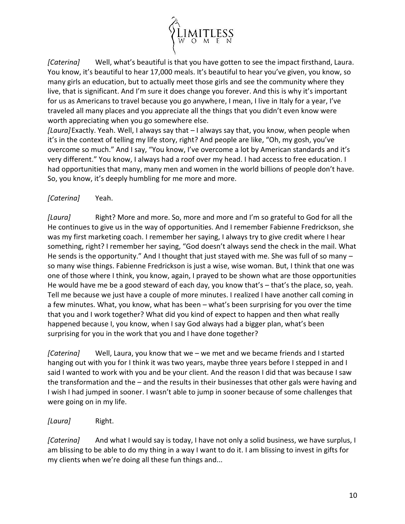

*[Caterina]* Well, what's beautiful is that you have gotten to see the impact firsthand, Laura. You know, it's beautiful to hear 17,000 meals. It's beautiful to hear you've given, you know, so many girls an education, but to actually meet those girls and see the community where they live, that is significant. And I'm sure it does change you forever. And this is why it's important for us as Americans to travel because you go anywhere, I mean, I live in Italy for a year, I've traveled all many places and you appreciate all the things that you didn't even know were worth appreciating when you go somewhere else.

*[Laura]*Exactly. Yeah. Well, I always say that – I always say that, you know, when people when it's in the context of telling my life story, right? And people are like, "Oh, my gosh, you've overcome so much." And I say, "You know, I've overcome a lot by American standards and it's very different." You know, I always had a roof over my head. I had access to free education. I had opportunities that many, many men and women in the world billions of people don't have. So, you know, it's deeply humbling for me more and more.

# *[Caterina]* Yeah.

*[Laura]* Right? More and more. So, more and more and I'm so grateful to God for all the He continues to give us in the way of opportunities. And I remember Fabienne Fredrickson, she was my first marketing coach. I remember her saying, I always try to give credit where I hear something, right? I remember her saying, "God doesn't always send the check in the mail. What He sends is the opportunity." And I thought that just stayed with me. She was full of so many  $$ so many wise things. Fabienne Fredrickson is just a wise, wise woman. But, I think that one was one of those where I think, you know, again, I prayed to be shown what are those opportunities He would have me be a good steward of each day, you know that's – that's the place, so, yeah. Tell me because we just have a couple of more minutes. I realized I have another call coming in a few minutes. What, you know, what has been – what's been surprising for you over the time that you and I work together? What did you kind of expect to happen and then what really happened because I, you know, when I say God always had a bigger plan, what's been surprising for you in the work that you and I have done together?

*[Caterina]* Well, Laura, you know that we – we met and we became friends and I started hanging out with you for I think it was two years, maybe three years before I stepped in and I said I wanted to work with you and be your client. And the reason I did that was because I saw the transformation and the – and the results in their businesses that other gals were having and I wish I had jumped in sooner. I wasn't able to jump in sooner because of some challenges that were going on in my life.

## *[Laura]* Right.

*[Caterina]* And what I would say is today, I have not only a solid business, we have surplus, I am blissing to be able to do my thing in a way I want to do it. I am blissing to invest in gifts for my clients when we're doing all these fun things and...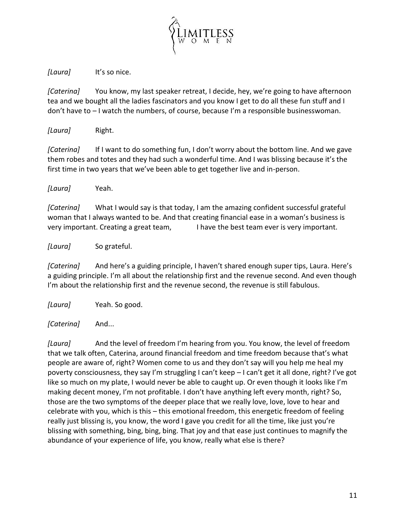

*[Laura]* It's so nice.

*[Caterina]* You know, my last speaker retreat, I decide, hey, we're going to have afternoon tea and we bought all the ladies fascinators and you know I get to do all these fun stuff and I don't have to – I watch the numbers, of course, because I'm a responsible businesswoman.

*[Laura]* Right.

*[Caterina]* If I want to do something fun, I don't worry about the bottom line. And we gave them robes and totes and they had such a wonderful time. And I was blissing because it's the first time in two years that we've been able to get together live and in-person.

*[Laura]* Yeah.

*[Caterina]* What I would say is that today, I am the amazing confident successful grateful woman that I always wanted to be. And that creating financial ease in a woman's business is very important. Creating a great team, I have the best team ever is very important.

*[Laura]* So grateful.

*[Caterina]* And here's a guiding principle, I haven't shared enough super tips, Laura. Here's a guiding principle. I'm all about the relationship first and the revenue second. And even though I'm about the relationship first and the revenue second, the revenue is still fabulous.

*[Laura]* Yeah. So good.

*[Caterina]* And...

*[Laura]* And the level of freedom I'm hearing from you. You know, the level of freedom that we talk often, Caterina, around financial freedom and time freedom because that's what people are aware of, right? Women come to us and they don't say will you help me heal my poverty consciousness, they say I'm struggling I can't keep – I can't get it all done, right? I've got like so much on my plate, I would never be able to caught up. Or even though it looks like I'm making decent money, I'm not profitable. I don't have anything left every month, right? So, those are the two symptoms of the deeper place that we really love, love, love to hear and celebrate with you, which is this – this emotional freedom, this energetic freedom of feeling really just blissing is, you know, the word I gave you credit for all the time, like just you're blissing with something, bing, bing, bing. That joy and that ease just continues to magnify the abundance of your experience of life, you know, really what else is there?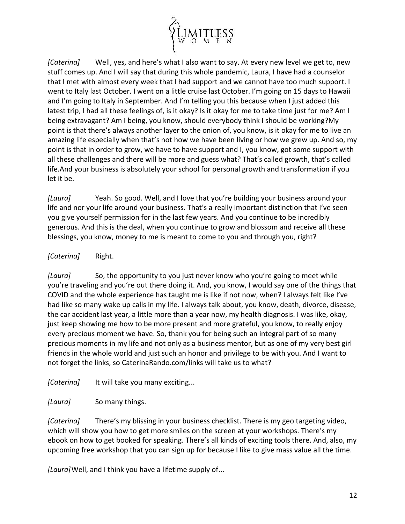

*[Caterina]* Well, yes, and here's what I also want to say. At every new level we get to, new stuff comes up. And I will say that during this whole pandemic, Laura, I have had a counselor that I met with almost every week that I had support and we cannot have too much support. I went to Italy last October. I went on a little cruise last October. I'm going on 15 days to Hawaii and I'm going to Italy in September. And I'm telling you this because when I just added this latest trip, I had all these feelings of, is it okay? Is it okay for me to take time just for me? Am I being extravagant? Am I being, you know, should everybody think I should be working?My point is that there's always another layer to the onion of, you know, is it okay for me to live an amazing life especially when that's not how we have been living or how we grew up. And so, my point is that in order to grow, we have to have support and I, you know, got some support with all these challenges and there will be more and guess what? That's called growth, that's called life.And your business is absolutely your school for personal growth and transformation if you let it be.

*[Laura]* Yeah. So good. Well, and I love that you're building your business around your life and nor your life around your business. That's a really important distinction that I've seen you give yourself permission for in the last few years. And you continue to be incredibly generous. And this is the deal, when you continue to grow and blossom and receive all these blessings, you know, money to me is meant to come to you and through you, right?

## *[Caterina]* Right.

*[Laura]* So, the opportunity to you just never know who you're going to meet while you're traveling and you're out there doing it. And, you know, I would say one of the things that COVID and the whole experience has taught me is like if not now, when? I always felt like I've had like so many wake up calls in my life. I always talk about, you know, death, divorce, disease, the car accident last year, a little more than a year now, my health diagnosis. I was like, okay, just keep showing me how to be more present and more grateful, you know, to really enjoy every precious moment we have. So, thank you for being such an integral part of so many precious moments in my life and not only as a business mentor, but as one of my very best girl friends in the whole world and just such an honor and privilege to be with you. And I want to not forget the links, so CaterinaRando.com/links will take us to what?

*[Caterina]* It will take you many exciting...

*[Laura]* So many things.

*[Caterina]* There's my blissing in your business checklist. There is my geo targeting video, which will show you how to get more smiles on the screen at your workshops. There's my ebook on how to get booked for speaking. There's all kinds of exciting tools there. And, also, my upcoming free workshop that you can sign up for because I like to give mass value all the time.

*[Laura]*Well, and I think you have a lifetime supply of...